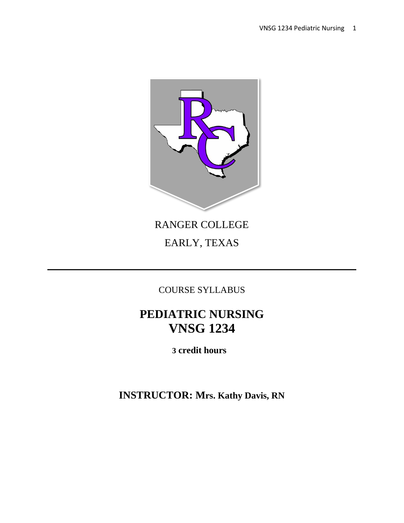

# RANGER COLLEGE EARLY, TEXAS

COURSE SYLLABUS

# **PEDIATRIC NURSING VNSG 1234**

 **3 credit hours**

**INSTRUCTOR: Mrs. Kathy Davis, RN**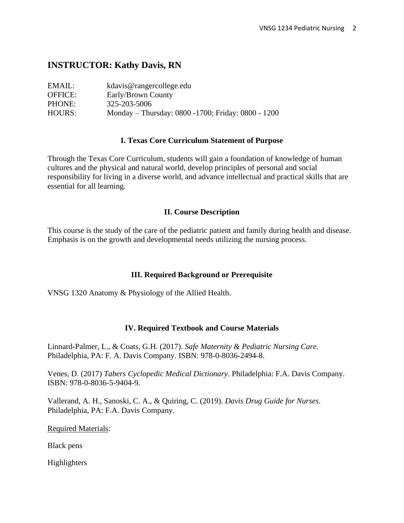# **INSTRUCTOR: Kathy Davis, RN**

| EMAIL:         | kdavis@rangercollege.edu                           |
|----------------|----------------------------------------------------|
| <b>OFFICE:</b> | Early/Brown County                                 |
| PHONE:         | 325-203-5006                                       |
| HOURS:         | Monday – Thursday: 0800 -1700; Friday: 0800 - 1200 |

### **I. Texas Core Curriculum Statement of Purpose**

Through the Texas Core Curriculum, students will gain a foundation of knowledge of human cultures and the physical and natural world, develop principles of personal and social responsibility for living in a diverse world, and advance intellectual and practical skills that are essential for all learning.

#### **II. Course Description**

This course is the study of the care of the pediatric patient and family during health and disease. Emphasis is on the growth and developmental needs utilizing the nursing process.

### **III. Required Background or Prerequisite**

VNSG 1320 Anatomy & Physiology of the Allied Health.

### **IV. Required Textbook and Course Materials**

Linnard-Palmer, L., & Coats, G.H. (2017). *Safe Maternity & Pediatric Nursing Care*. Philadelphia, PA: F. A. Davis Company. ISBN: 978-0-8036-2494-8.

Venes, D. (2017) *Tabers Cyclopedic Medical Dictionary*. Philadelphia: F.A. Davis Company. ISBN: 978-0-8036-5-9404-9.

Vallerand, A. H., Sanoski, C. A., & Quiring, C. (2019). *Davis Drug Guide for Nurses*. Philadelphia, PA: F.A. Davis Company.

Required Materials:

Black pens

Highlighters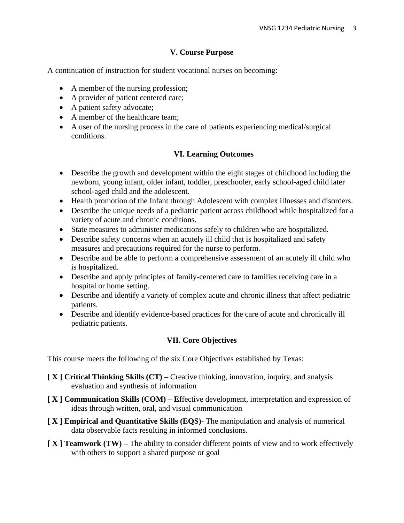## **V. Course Purpose**

A continuation of instruction for student vocational nurses on becoming:

- A member of the nursing profession;
- A provider of patient centered care;
- A patient safety advocate;
- A member of the healthcare team:
- A user of the nursing process in the care of patients experiencing medical/surgical conditions.

# **VI. Learning Outcomes**

- Describe the growth and development within the eight stages of childhood including the newborn, young infant, older infant, toddler, preschooler, early school-aged child later school-aged child and the adolescent.
- Health promotion of the Infant through Adolescent with complex illnesses and disorders.
- Describe the unique needs of a pediatric patient across childhood while hospitalized for a variety of acute and chronic conditions.
- State measures to administer medications safely to children who are hospitalized.
- Describe safety concerns when an acutely ill child that is hospitalized and safety measures and precautions required for the nurse to perform.
- Describe and be able to perform a comprehensive assessment of an acutely ill child who is hospitalized.
- Describe and apply principles of family-centered care to families receiving care in a hospital or home setting.
- Describe and identify a variety of complex acute and chronic illness that affect pediatric patients.
- Describe and identify evidence-based practices for the care of acute and chronically ill pediatric patients.

## **VII. Core Objectives**

This course meets the following of the six Core Objectives established by Texas:

- **[ X ] Critical Thinking Skills (CT) –** Creative thinking, innovation, inquiry, and analysis evaluation and synthesis of information
- **[ X ] Communication Skills (COM) – E**ffective development, interpretation and expression of ideas through written, oral, and visual communication
- **[ X ] Empirical and Quantitative Skills (EQS)-** The manipulation and analysis of numerical data observable facts resulting in informed conclusions.
- **[ X ] Teamwork (TW) –** The ability to consider different points of view and to work effectively with others to support a shared purpose or goal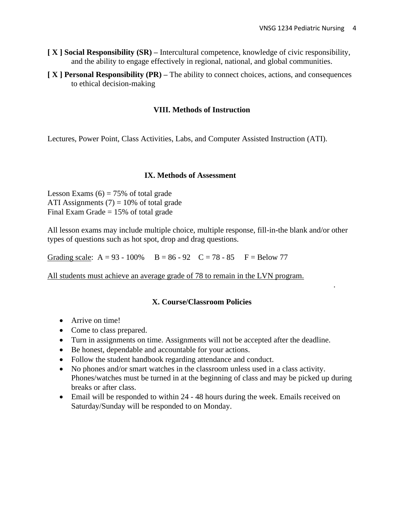.

- **[ X ] Social Responsibility (SR) –** Intercultural competence, knowledge of civic responsibility, and the ability to engage effectively in regional, national, and global communities.
- **[ X ] Personal Responsibility (PR) –** The ability to connect choices, actions, and consequences to ethical decision-making

#### **VIII. Methods of Instruction**

Lectures, Power Point, Class Activities, Labs, and Computer Assisted Instruction (ATI).

#### **IX. Methods of Assessment**

Lesson Exams  $(6) = 75\%$  of total grade ATI Assignments  $(7) = 10\%$  of total grade Final Exam Grade  $= 15%$  of total grade

All lesson exams may include multiple choice, multiple response, fill-in-the blank and/or other types of questions such as hot spot, drop and drag questions.

Grading scale:  $A = 93 - 100\%$  B = 86 - 92 C = 78 - 85 F = Below 77

All students must achieve an average grade of 78 to remain in the LVN program.

#### **X. Course/Classroom Policies**

- Arrive on time!
- Come to class prepared.
- Turn in assignments on time. Assignments will not be accepted after the deadline.
- Be honest, dependable and accountable for your actions.
- Follow the student handbook regarding attendance and conduct.
- No phones and/or smart watches in the classroom unless used in a class activity. Phones/watches must be turned in at the beginning of class and may be picked up during breaks or after class.
- Email will be responded to within 24 48 hours during the week. Emails received on Saturday/Sunday will be responded to on Monday.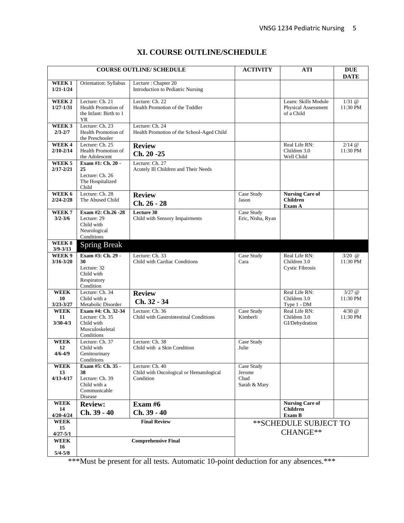|  |  |  | XI. COURSE OUTLINE/SCHEDULE |
|--|--|--|-----------------------------|
|--|--|--|-----------------------------|

| <b>COURSE OUTLINE/ SCHEDULE</b>                                |                                                                                       | <b>ACTIVITY</b>                                                         | <b>ATI</b>                                   | <b>DUE</b>                                                       |                            |
|----------------------------------------------------------------|---------------------------------------------------------------------------------------|-------------------------------------------------------------------------|----------------------------------------------|------------------------------------------------------------------|----------------------------|
| WEEK1<br>$1/21 - 1/24$                                         | Orientation: Syllabus                                                                 | Lecture: Chapter 20<br>Introduction to Pediatric Nursing                |                                              |                                                                  | <b>DATE</b>                |
| WEEK <sub>2</sub><br>$1/27 - 1/31$                             | Lecture: Ch. 21<br>Health Promotion of<br>the Infant: Birth to 1<br>YR                | Lecture: Ch. 22<br>Health Promotion of the Toddler                      |                                              | Learn: Skills Module<br><b>Physical Assessment</b><br>of a Child | $1/31$ $\odot$<br>11:30 PM |
| WEEK <sub>3</sub><br>$2/3 - 2/7$                               | Lecture: Ch. 23<br>Health Promotion of<br>the Preschooler                             | Lecture: Ch. 24<br>Health Promotion of the School-Aged Child            |                                              |                                                                  |                            |
| WEEK4<br>$2/10 - 2/14$                                         | Lecture: Ch. 25<br>Health Promotion of<br>the Adolescent                              | <b>Review</b><br>Ch. 20 -25                                             |                                              | Real Life RN:<br>Children 3.0<br>Well Child                      | $2/14$ @<br>11:30 PM       |
| WEEK <sub>5</sub><br>$2/17 - 2/21$                             | Exam #1: Ch. 20 -<br>25<br>Lecture: Ch. 26<br>The Hospitalized<br>Child               | Lecture: Ch. 27<br>Acutely Ill Children and Their Needs                 |                                              |                                                                  |                            |
| WEEK 6<br>$2/24 - 2/28$                                        | Lecture: Ch. 28<br>The Abused Child                                                   | <b>Review</b><br>Ch. 26 - 28                                            | Case Study<br>Jason                          | <b>Nursing Care of</b><br><b>Children</b><br>Exam A              |                            |
| WEEK7<br>$3/2 - 3/6$                                           | Exam #2: Ch.26 -28<br>Lecture: 29<br>Child with<br>Neurological<br>Conditions         | Lecture 30<br>Child with Sensory Impairments                            | Case Study<br>Eric, Nisha, Ryan              |                                                                  |                            |
| WEEK <sub>8</sub><br>$3/9 - 3/13$                              | <b>Spring Break</b>                                                                   |                                                                         |                                              |                                                                  |                            |
| WEEK 9<br>$3/16 - 3/20$                                        | Exam #3: Ch. 29 -<br>30<br>Lecture: 32<br>Child with<br>Respiratory<br>Condition      | Lecture: Ch. 33<br>Child with Cardiac Conditions                        | Case Study<br>Cara                           | Real Life RN:<br>Children 3.0<br><b>Cystic Fibrosis</b>          | $3/20$ @<br>11:30 PM       |
| <b>WEEK</b><br>10<br>$3/23 - 3/27$                             | Lecture: Ch. 34<br>Child with a<br>Metabolic Disorder                                 | <b>Review</b><br>Ch. 32 - 34                                            |                                              | Real Life RN:<br>Children 3.0<br>Type 1 - DM                     | $3/27$ @<br>11:30 PM       |
| <b>WEEK</b><br>11<br>$3/30 - 4/3$                              | Exam #4: Ch. 32-34<br>Lecture: Ch. 35<br>Child with<br>Musculoskeletal<br>Conditions  | Lecture: Ch. 36<br>Child with Gastrointestinal Conditions               | Case Study<br>Kimberli                       | Real Life RN:<br>Children 3.0<br>GI/Dehydration                  | $4/30$ @<br>11:30 PM       |
| <b>WEEK</b><br>12<br>$4/6 - 4/9$                               | Lecture: Ch. 37<br>Child with<br>Genitourinary<br>Conditions                          | Lecture: Ch. 38<br>Child with a Skin Condition                          | Case Study<br>Julie                          |                                                                  |                            |
| <b>WEEK</b><br>13<br>$4/13 - 4/17$                             | Exam #5: Ch. 35 -<br>38<br>Lecture: Ch. 39<br>Child with a<br>Communicable<br>Disease | Lecture: Ch. 40<br>Child with Oncological or Hematological<br>Condition | Case Study<br>Jerome<br>Chad<br>Sarah & Mary |                                                                  |                            |
| <b>WEEK</b><br>14<br>$4/20 - 4/24$                             | <b>Review:</b><br>Ch. 39 - 40                                                         | Exam $#6$<br>Ch. 39 - 40                                                |                                              | <b>Nursing Care of</b><br><b>Children</b><br>Exam B              |                            |
| WEEK<br>15<br>$4/27 - 5/1$<br><b>WEEK</b><br>16<br>$5/4 - 5/8$ | <b>Final Review</b><br><b>Comprehensive Final</b>                                     |                                                                         | ** SCHEDULE SUBJECT TO<br>CHANGE**           |                                                                  |                            |

\*\*\*Must be present for all tests. Automatic 10-point deduction for any absences.\*\*\*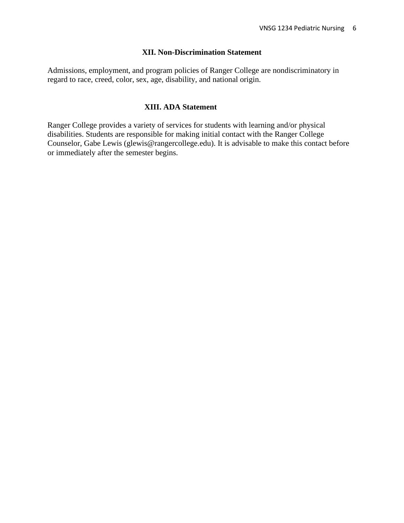### **XII. Non-Discrimination Statement**

Admissions, employment, and program policies of Ranger College are nondiscriminatory in regard to race, creed, color, sex, age, disability, and national origin.

## **XIII. ADA Statement**

Ranger College provides a variety of services for students with learning and/or physical disabilities. Students are responsible for making initial contact with the Ranger College Counselor, Gabe Lewis (glewis@rangercollege.edu). It is advisable to make this contact before or immediately after the semester begins.